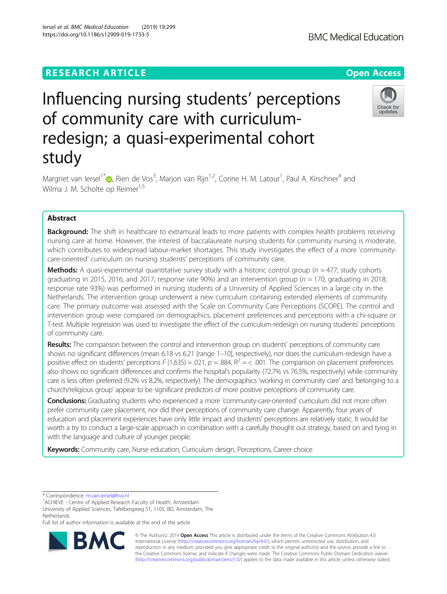# **RESEARCH ARTICLE Example 2018 12:30 THE Open Access**

# Influencing nursing students' perceptions of community care with curriculumredesign; a quasi-experimental cohort study

Margriet van Iersel<sup>1\*</sup>®[,](http://orcid.org/0000-0003-2738-3710) Rien de Vos<sup>3</sup>, Marjon van Rijn<sup>1,2</sup>, Corine H. M. Latour<sup>1</sup>, Paul A. Kirschner<sup>4</sup> and Wilma J. M. Scholte op Reimer<sup>1,5</sup>

# Abstract

**Background:** The shift in healthcare to extramural leads to more patients with complex health problems receiving nursing care at home. However, the interest of baccalaureate nursing students for community nursing is moderate, which contributes to widespread labour-market shortages. This study investigates the effect of a more 'communitycare-oriented' curriculum on nursing students' perceptions of community care.

**Methods:** A quasi-experimental quantitative survey study with a historic control group ( $n = 477$ ; study cohorts graduating in 2015, 2016, and 2017; response rate 90%) and an intervention group ( $n = 170$ ; graduating in 2018; response rate 93%) was performed in nursing students of a University of Applied Sciences in a large city in the Netherlands. The intervention group underwent a new curriculum containing extended elements of community care. The primary outcome was assessed with the Scale on Community Care Perceptions (SCOPE). The control and intervention group were compared on demographics, placement preferences and perceptions with a chi-square or T-test. Multiple regression was used to investigate the effect of the curriculum-redesign on nursing students' perceptions of community care.

Results: The comparison between the control and intervention group on students' perceptions of community care shows no significant differences (mean 6.18 vs 6.21 [range 1–10], respectively), nor does the curriculum-redesign have a positive effect on students' perceptions  $F(1,635) = .021$ ,  $p = .884$ ,  $R^2 = < .001$ . The comparison on placement preferences also shows no significant differences and confirms the hospital's popularity (72.7% vs 76.5%, respectively) while community care is less often preferred (9.2% vs 8.2%, respectively). The demographics 'working in community care' and 'belonging to a church/religious group' appear to be significant predictors of more positive perceptions of community care.

Conclusions: Graduating students who experienced a more 'community-care-oriented' curriculum did not more often prefer community care placement, nor did their perceptions of community care change. Apparently, four years of education and placement experiences have only little impact and students' perceptions are relatively static. It would be worth a try to conduct a large-scale approach in combination with a carefully thought out strategy, based on and tying in with the language and culture of younger people.

Keywords: Community care, Nurse education, Curriculum design, Perceptions, Career choice

<sup>1</sup> ACHIEVE - Centre of Applied Research Faculty of Health, Amsterdam University of Applied Sciences, Tafelbergweg 51, 1105, BD, Amsterdam, The **Netherlands** 

© The Author(s). 2019 **Open Access** This article is distributed under the terms of the Creative Commons Attribution 4.0 International License [\(http://creativecommons.org/licenses/by/4.0/](http://creativecommons.org/licenses/by/4.0/)), which permits unrestricted use, distribution, and reproduction in any medium, provided you give appropriate credit to the original author(s) and the source, provide a link to the Creative Commons license, and indicate if changes were made. The Creative Commons Public Domain Dedication waiver [\(http://creativecommons.org/publicdomain/zero/1.0/](http://creativecommons.org/publicdomain/zero/1.0/)) applies to the data made available in this article, unless otherwise stated.

Iersel et al. BMC Medical Education (2019) 19:299 https://doi.org/10.1186/s12909-019-1733-5







<sup>\*</sup> Correspondence: [m.van.iersel@hva.nl](mailto:m.van.iersel@hva.nl) <sup>1</sup>

Full list of author information is available at the end of the article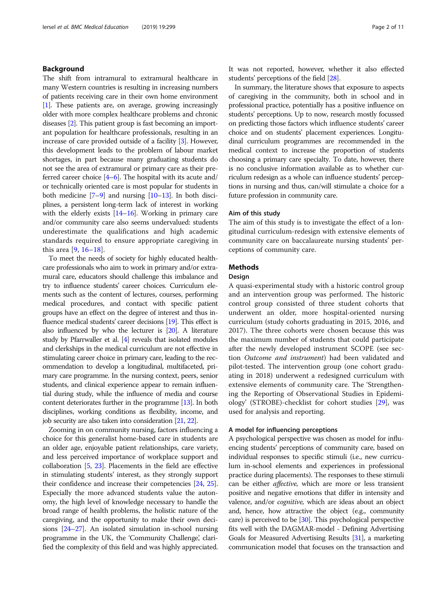# Background

The shift from intramural to extramural healthcare in many Western countries is resulting in increasing numbers of patients receiving care in their own home environment [[1](#page-9-0)]. These patients are, on average, growing increasingly older with more complex healthcare problems and chronic diseases [[2](#page-9-0)]. This patient group is fast becoming an important population for healthcare professionals, resulting in an increase of care provided outside of a facility [[3](#page-9-0)]. However, this development leads to the problem of labour market shortages, in part because many graduating students do not see the area of extramural or primary care as their preferred career choice [\[4](#page-9-0)–[6](#page-9-0)]. The hospital with its acute and/ or technically oriented care is most popular for students in both medicine  $[7-9]$  $[7-9]$  $[7-9]$  $[7-9]$  and nursing  $[10-13]$  $[10-13]$  $[10-13]$  $[10-13]$ . In both disciplines, a persistent long-term lack of interest in working with the elderly exists  $[14–16]$  $[14–16]$  $[14–16]$  $[14–16]$ . Working in primary care and/or community care also seems undervalued: students underestimate the qualifications and high academic standards required to ensure appropriate caregiving in this area [\[9](#page-9-0), [16](#page-9-0)–[18](#page-9-0)].

To meet the needs of society for highly educated healthcare professionals who aim to work in primary and/or extramural care, educators should challenge this imbalance and try to influence students' career choices. Curriculum elements such as the content of lectures, courses, performing medical procedures, and contact with specific patient groups have an effect on the degree of interest and thus in-fluence medical students' career decisions [\[19](#page-9-0)]. This effect is also influenced by who the lecturer is [\[20](#page-9-0)]. A literature study by Pfarrwaller et al. [\[4](#page-9-0)] reveals that isolated modules and clerkships in the medical curriculum are not effective in stimulating career choice in primary care, leading to the recommendation to develop a longitudinal, multifaceted, primary care programme. In the nursing context, peers, senior students, and clinical experience appear to remain influential during study, while the influence of media and course content deteriorates further in the programme [\[13](#page-9-0)]. In both disciplines, working conditions as flexibility, income, and job security are also taken into consideration [[21,](#page-9-0) [22\]](#page-9-0).

Zooming in on community nursing, factors influencing a choice for this generalist home-based care in students are an older age, enjoyable patient relationships, care variety, and less perceived importance of workplace support and collaboration [\[5](#page-9-0), [23\]](#page-9-0). Placements in the field are effective in stimulating students' interest, as they strongly support their confidence and increase their competencies [[24](#page-9-0), [25](#page-9-0)]. Especially the more advanced students value the autonomy, the high level of knowledge necessary to handle the broad range of health problems, the holistic nature of the caregiving, and the opportunity to make their own decisions [[24](#page-9-0)–[27\]](#page-9-0). An isolated simulation in-school nursing programme in the UK, the 'Community Challenge', clarified the complexity of this field and was highly appreciated. It was not reported, however, whether it also effected students' perceptions of the field [\[28\]](#page-9-0).

In summary, the literature shows that exposure to aspects of caregiving in the community, both in school and in professional practice, potentially has a positive influence on students' perceptions. Up to now, research mostly focussed on predicting those factors which influence students' career choice and on students' placement experiences. Longitudinal curriculum programmes are recommended in the medical context to increase the proportion of students choosing a primary care specialty. To date, however, there is no conclusive information available as to whether curriculum redesign as a whole can influence students' perceptions in nursing and thus, can/will stimulate a choice for a future profession in community care.

#### Aim of this study

The aim of this study is to investigate the effect of a longitudinal curriculum-redesign with extensive elements of community care on baccalaureate nursing students' perceptions of community care.

# Methods

#### Design

A quasi-experimental study with a historic control group and an intervention group was performed. The historic control group consisted of three student cohorts that underwent an older, more hospital-oriented nursing curriculum (study cohorts graduating in 2015, 2016, and 2017). The three cohorts were chosen because this was the maximum number of students that could participate after the newly developed instrument SCOPE (see section Outcome and instrument) had been validated and pilot-tested. The intervention group (one cohort graduating in 2018) underwent a redesigned curriculum with extensive elements of community care. The 'Strengthening the Reporting of Observational Studies in Epidemiology' (STROBE)-checklist for cohort studies [[29\]](#page-9-0), was used for analysis and reporting.

## A model for influencing perceptions

A psychological perspective was chosen as model for influencing students' perceptions of community care, based on individual responses to specific stimuli (i.e., new curriculum in-school elements and experiences in professional practice during placements). The responses to these stimuli can be either affective, which are more or less transient positive and negative emotions that differ in intensity and valence, and/or cognitive, which are ideas about an object and, hence, how attractive the object (e.g., community care) is perceived to be [\[30\]](#page-9-0). This psychological perspective fits well with the DAGMAR-model - Defining Advertising Goals for Measured Advertising Results [\[31\]](#page-9-0), a marketing communication model that focuses on the transaction and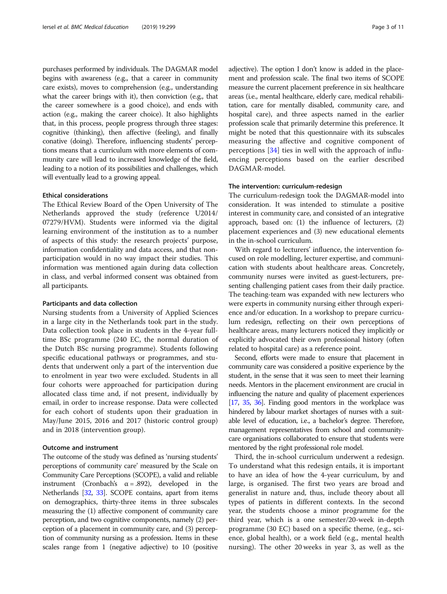purchases performed by individuals. The DAGMAR model begins with awareness (e.g., that a career in community care exists), moves to comprehension (e.g., understanding what the career brings with it), then conviction (e.g., that the career somewhere is a good choice), and ends with action (e.g., making the career choice). It also highlights that, in this process, people progress through three stages: cognitive (thinking), then affective (feeling), and finally conative (doing). Therefore, influencing students' perceptions means that a curriculum with more elements of community care will lead to increased knowledge of the field, leading to a notion of its possibilities and challenges, which will eventually lead to a growing appeal.

#### Ethical considerations

The Ethical Review Board of the Open University of The Netherlands approved the study (reference U2014/ 07279/HVM). Students were informed via the digital learning environment of the institution as to a number of aspects of this study: the research projects' purpose, information confidentiality and data access, and that nonparticipation would in no way impact their studies. This information was mentioned again during data collection in class, and verbal informed consent was obtained from all participants.

#### Participants and data collection

Nursing students from a University of Applied Sciences in a large city in the Netherlands took part in the study. Data collection took place in students in the 4-year fulltime BSc programme (240 EC, the normal duration of the Dutch BSc nursing programme). Students following specific educational pathways or programmes, and students that underwent only a part of the intervention due to enrolment in year two were excluded. Students in all four cohorts were approached for participation during allocated class time and, if not present, individually by email, in order to increase response. Data were collected for each cohort of students upon their graduation in May/June 2015, 2016 and 2017 (historic control group) and in 2018 (intervention group).

# Outcome and instrument

The outcome of the study was defined as 'nursing students' perceptions of community care' measured by the Scale on Community Care Perceptions (SCOPE), a valid and reliable instrument (Cronbach's  $\alpha = .892$ ), developed in the Netherlands [\[32,](#page-9-0) [33\]](#page-9-0). SCOPE contains, apart from items on demographics, thirty-three items in three subscales measuring the (1) affective component of community care perception, and two cognitive components, namely (2) perception of a placement in community care, and (3) perception of community nursing as a profession. Items in these scales range from 1 (negative adjective) to 10 (positive adjective). The option I don't know is added in the placement and profession scale. The final two items of SCOPE measure the current placement preference in six healthcare areas (i.e., mental healthcare, elderly care, medical rehabilitation, care for mentally disabled, community care, and hospital care), and three aspects named in the earlier profession scale that primarily determine this preference. It might be noted that this questionnaire with its subscales measuring the affective and cognitive component of perceptions [[34\]](#page-9-0) ties in well with the approach of influencing perceptions based on the earlier described DAGMAR-model.

## The intervention: curriculum-redesign

The curriculum-redesign took the DAGMAR-model into consideration. It was intended to stimulate a positive interest in community care, and consisted of an integrative approach, based on: (1) the influence of lecturers, (2) placement experiences and (3) new educational elements in the in-school curriculum.

With regard to lecturers' influence, the intervention focused on role modelling, lecturer expertise, and communication with students about healthcare areas. Concretely, community nurses were invited as guest-lecturers, presenting challenging patient cases from their daily practice. The teaching-team was expanded with new lecturers who were experts in community nursing either through experience and/or education. In a workshop to prepare curriculum redesign, reflecting on their own perceptions of healthcare areas, many lecturers noticed they implicitly or explicitly advocated their own professional history (often related to hospital care) as a reference point.

Second, efforts were made to ensure that placement in community care was considered a positive experience by the student, in the sense that it was seen to meet their learning needs. Mentors in the placement environment are crucial in influencing the nature and quality of placement experiences [[17,](#page-9-0) [35,](#page-9-0) [36](#page-9-0)]. Finding good mentors in the workplace was hindered by labour market shortages of nurses with a suitable level of education, i.e., a bachelor's degree. Therefore, management representatives from school and communitycare organisations collaborated to ensure that students were mentored by the right professional role model.

Third, the in-school curriculum underwent a redesign. To understand what this redesign entails, it is important to have an idea of how the 4-year curriculum, by and large, is organised. The first two years are broad and generalist in nature and, thus, include theory about all types of patients in different contexts. In the second year, the students choose a minor programme for the third year, which is a one semester/20-week in-depth programme (30 EC) based on a specific theme, (e.g., science, global health), or a work field (e.g., mental health nursing). The other 20 weeks in year 3, as well as the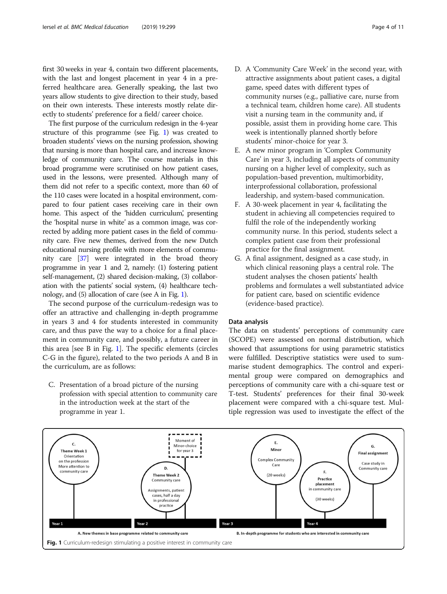first 30 weeks in year 4, contain two different placements, with the last and longest placement in year 4 in a preferred healthcare area. Generally speaking, the last two years allow students to give direction to their study, based on their own interests. These interests mostly relate directly to students' preference for a field/ career choice.

The first purpose of the curriculum redesign in the 4-year structure of this programme (see Fig. 1) was created to broaden students' views on the nursing profession, showing that nursing is more than hospital care, and increase knowledge of community care. The course materials in this broad programme were scrutinised on how patient cases, used in the lessons, were presented. Although many of them did not refer to a specific context, more than 60 of the 110 cases were located in a hospital environment, compared to four patient cases receiving care in their own home. This aspect of the 'hidden curriculum', presenting the 'hospital nurse in white' as a common image, was corrected by adding more patient cases in the field of community care. Five new themes, derived from the new Dutch educational nursing profile with more elements of community care [\[37\]](#page-9-0) were integrated in the broad theory programme in year 1 and 2, namely: (1) fostering patient self-management, (2) shared decision-making, (3) collaboration with the patients' social system, (4) healthcare technology, and (5) allocation of care (see A in Fig. 1).

The second purpose of the curriculum-redesign was to offer an attractive and challenging in-depth programme in years 3 and 4 for students interested in community care, and thus pave the way to a choice for a final placement in community care, and possibly, a future career in this area [see B in Fig. 1]. The specific elements (circles C-G in the figure), related to the two periods A and B in the curriculum, are as follows:

C. Presentation of a broad picture of the nursing profession with special attention to community care in the introduction week at the start of the programme in year 1.

- D. A 'Community Care Week' in the second year, with attractive assignments about patient cases, a digital game, speed dates with different types of community nurses (e.g., palliative care, nurse from a technical team, children home care). All students visit a nursing team in the community and, if possible, assist them in providing home care. This week is intentionally planned shortly before students' minor-choice for year 3.
- E. A new minor program in 'Complex Community Care' in year 3, including all aspects of community nursing on a higher level of complexity, such as population-based prevention, multimorbidity, interprofessional collaboration, professional leadership, and system-based communication.
- F. A 30-week placement in year 4, facilitating the student in achieving all competencies required to fulfil the role of the independently working community nurse. In this period, students select a complex patient case from their professional practice for the final assignment.
- G. A final assignment, designed as a case study, in which clinical reasoning plays a central role. The student analyses the chosen patients' health problems and formulates a well substantiated advice for patient care, based on scientific evidence (evidence-based practice).

#### Data analysis

The data on students' perceptions of community care (SCOPE) were assessed on normal distribution, which showed that assumptions for using parametric statistics were fulfilled. Descriptive statistics were used to summarise student demographics. The control and experimental group were compared on demographics and perceptions of community care with a chi-square test or T-test. Students' preferences for their final 30-week placement were compared with a chi-square test. Multiple regression was used to investigate the effect of the

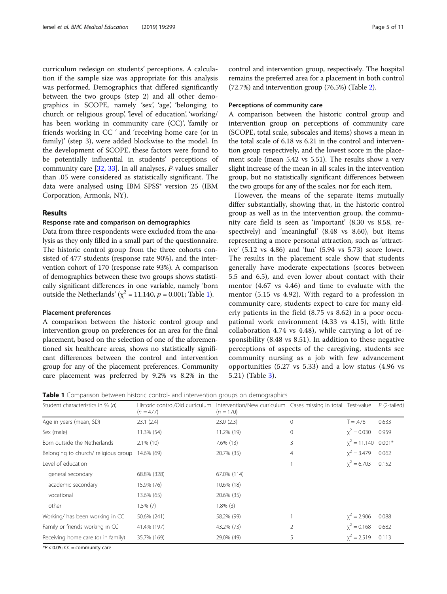<span id="page-4-0"></span>curriculum redesign on students' perceptions. A calculation if the sample size was appropriate for this analysis was performed. Demographics that differed significantly between the two groups (step 2) and all other demographics in SCOPE, namely 'sex', 'age', 'belonging to church or religious group', 'level of education', 'working/ has been working in community care (CC)', 'family or friends working in CC ' and 'receiving home care (or in family)' (step 3), were added blockwise to the model. In the development of SCOPE, these factors were found to be potentially influential in students' perceptions of community care [\[32](#page-9-0), [33\]](#page-9-0). In all analyses, P-values smaller than .05 were considered as statistically significant. The data were analysed using IBM SPSS® version 25 (IBM Corporation, Armonk, NY).

# Results

# Response rate and comparison on demographics

Data from three respondents were excluded from the analysis as they only filled in a small part of the questionnaire. The historic control group from the three cohorts consisted of 477 students (response rate 90%), and the intervention cohort of 170 (response rate 93%). A comparison of demographics between these two groups shows statistically significant differences in one variable, namely 'born outside the Netherlands' ( $\chi^2$  = 11.140,  $p$  = 0.001; Table 1).

#### Placement preferences

A comparison between the historic control group and intervention group on preferences for an area for the final placement, based on the selection of one of the aforementioned six healthcare areas, shows no statistically significant differences between the control and intervention group for any of the placement preferences. Community care placement was preferred by 9.2% vs 8.2% in the control and intervention group, respectively. The hospital remains the preferred area for a placement in both control (72.7%) and intervention group (76.5%) (Table [2](#page-5-0)).

# Perceptions of community care

A comparison between the historic control group and intervention group on perceptions of community care (SCOPE, total scale, subscales and items) shows a mean in the total scale of 6.18 vs 6.21 in the control and intervention group respectively, and the lowest score in the placement scale (mean 5.42 vs 5.51). The results show a very slight increase of the mean in all scales in the intervention group, but no statistically significant differences between the two groups for any of the scales, nor for each item.

However, the means of the separate items mutually differ substantially, showing that, in the historic control group as well as in the intervention group, the community care field is seen as 'important' (8.30 vs 8.58, respectively) and 'meaningful' (8.48 vs 8.60), but items representing a more personal attraction, such as 'attractive' (5.12 vs 4.86) and 'fun' (5.94 vs 5.73) score lower. The results in the placement scale show that students generally have moderate expectations (scores between 5.5 and 6.5), and even lower about contact with their mentor (4.67 vs 4.46) and time to evaluate with the mentor (5.15 vs 4.92). With regard to a profession in community care, students expect to care for many elderly patients in the field (8.75 vs 8.62) in a poor occupational work environment (4.33 vs 4.15), with little collaboration 4.74 vs 4.48), while carrying a lot of responsibility (8.48 vs 8.51). In addition to these negative perceptions of aspects of the caregiving, students see community nursing as a job with few advancement opportunities (5.27 vs 5.33) and a low status (4.96 vs 5.21) (Table [3\)](#page-6-0).

**Table 1** Comparison between historic control- and intervention groups on demographics

| Student characteristics in % (n)     | Historic control/Old curriculum<br>$(n = 477)$ | Intervention/New curriculum Cases missing in total Test-value<br>$(n = 170)$ |          |                       | $P$ (2-tailed) |
|--------------------------------------|------------------------------------------------|------------------------------------------------------------------------------|----------|-----------------------|----------------|
| Age in years (mean, SD)              | 23.1(2.4)                                      | 23.0(2.3)                                                                    | $\Omega$ | $T = .478$            | 0.633          |
| Sex (male)                           | 11.3% (54)                                     | 11.2% (19)                                                                   | 0        | $x^2 = 0.030$         | 0.959          |
| Born outside the Netherlands         | $2.1\%$ (10)                                   | 7.6% (13)                                                                    | 3        | $x^2 = 11.140$ 0.001* |                |
| Belonging to church/ religious group | 14.6% (69)                                     | 20.7% (35)                                                                   | 4        | $x^2 = 3.479$         | 0.062          |
| Level of education                   |                                                |                                                                              |          | $x^2 = 6.703$         | 0.152          |
| general secondary                    | 68.8% (328)                                    | 67.0% (114)                                                                  |          |                       |                |
| academic secondary                   | 15.9% (76)                                     | 10.6% (18)                                                                   |          |                       |                |
| vocational                           | 13.6% (65)                                     | 20.6% (35)                                                                   |          |                       |                |
| other                                | $1.5\%$ (7)                                    | $1.8\%$ (3)                                                                  |          |                       |                |
| Working/ has been working in CC      | 50.6% (241)                                    | 58.2% (99)                                                                   |          | $x^2 = 2.906$         | 0.088          |
| Family or friends working in CC      | 41.4% (197)                                    | 43.2% (73)                                                                   | 2        | $x^2 = 0.168$         | 0.682          |
| Receiving home care (or in family)   | 35.7% (169)                                    | 29.0% (49)                                                                   | 5        | $x^2 = 2.519$         | 0.113          |

 $*P < 0.05$ ; CC = community care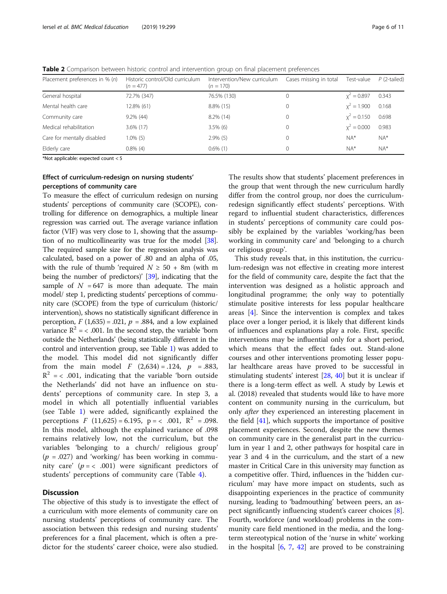<span id="page-5-0"></span>Table 2 Comparison between historic control and intervention group on final placement preferences

| Placement preferences in $% (n)$ | Historic control/Old curriculum<br>$(n = 477)$ | Intervention/New curriculum<br>$(n = 170)$ | Cases missing in total | Test-value    | $P$ (2-tailed) |
|----------------------------------|------------------------------------------------|--------------------------------------------|------------------------|---------------|----------------|
| General hospital                 | 72.7% (347)                                    | 76.5% (130)                                | $\Omega$               | $x^2 = 0.897$ | 0.343          |
| Mental health care               | 12.8% (61)                                     | 8.8% (15)                                  | 0                      | $x^2 = 1.900$ | 0.168          |
| Community care                   | $9.2\%$ (44)                                   | $8.2\%$ (14)                               | 0                      | $x^2 = 0.150$ | 0.698          |
| Medical rehabilitation           | $3.6\%$ (17)                                   | $3.5\%$ (6)                                | 0                      | $x^2 = 0.000$ | 0.983          |
| Care for mentally disabled       | $1.0\%$ (5)                                    | $2.9\%$ (5)                                | 0                      | $NA*$         | $NA*$          |
| Elderly care                     | $0.8\%$ (4)                                    | $0.6\%$ (1)                                | $\Omega$               | $NA*$         | $NA*$          |

\*Not applicable: expected count < 5

# Effect of curriculum-redesign on nursing students' perceptions of community care

To measure the effect of curriculum redesign on nursing students' perceptions of community care (SCOPE), controlling for difference on demographics, a multiple linear regression was carried out. The average variance inflation factor (VIF) was very close to 1, showing that the assumption of no multicollinearity was true for the model [[38](#page-9-0)]. The required sample size for the regression analysis was calculated, based on a power of .80 and an alpha of .05, with the rule of thumb 'required  $N \geq 50 + 8m$  (with m being the number of predictors)' [\[39\]](#page-9-0), indicating that the sample of  $N = 647$  is more than adequate. The main model/ step 1, predicting students' perceptions of community care (SCOPE) from the type of curriculum (historic/ intervention), shows no statistically significant difference in perception,  $F(1,635) = .021$ ,  $p = .884$ , and a low explained variance  $\mathbb{R}^2 = 0.001$ . In the second step, the variable 'born outside the Netherlands' (being statistically different in the control and intervention group, see Table [1](#page-4-0)) was added to the model. This model did not significantly differ from the main model *F*  $(2,634) = .124$ , *p* = .883,  $R^2$  = < .001, indicating that the variable 'born outside the Netherlands' did not have an influence on students' perceptions of community care. In step 3, a model in which all potentially influential variables (see Table [1\)](#page-4-0) were added, significantly explained the perceptions  $F(11,625) = 6.195$ ,  $p = < .001$ ,  $R^2 = .098$ . In this model, although the explained variance of .098 remains relatively low, not the curriculum, but the variables 'belonging to a church/ religious group'  $(p = .027)$  and 'working/ has been working in community care'  $(p = < .001)$  were significant predictors of students' perceptions of community care (Table [4\)](#page-7-0).

# **Discussion**

The objective of this study is to investigate the effect of a curriculum with more elements of community care on nursing students' perceptions of community care. The association between this redesign and nursing students' preferences for a final placement, which is often a predictor for the students' career choice, were also studied.

The results show that students' placement preferences in the group that went through the new curriculum hardly differ from the control group, nor does the curriculumredesign significantly effect students' perceptions. With regard to influential student characteristics, differences in students' perceptions of community care could possibly be explained by the variables 'working/has been working in community care' and 'belonging to a church or religious group'.

This study reveals that, in this institution, the curriculum-redesign was not effective in creating more interest for the field of community care, despite the fact that the intervention was designed as a holistic approach and longitudinal programme; the only way to potentially stimulate positive interests for less popular healthcare areas [\[4](#page-9-0)]. Since the intervention is complex and takes place over a longer period, it is likely that different kinds of influences and explanations play a role. First, specific interventions may be influential only for a short period, which means that the effect fades out. Stand-alone courses and other interventions promoting lesser popular healthcare areas have proved to be successful in stimulating students' interest [\[28](#page-9-0), [40](#page-9-0)] but it is unclear if there is a long-term effect as well. A study by Lewis et al. (2018) revealed that students would like to have more content on community nursing in the curriculum, but only *after* they experienced an interesting placement in the field [\[41\]](#page-9-0), which supports the importance of positive placement experiences. Second, despite the new themes on community care in the generalist part in the curriculum in year 1 and 2, other pathways for hospital care in year 3 and 4 in the curriculum, and the start of a new master in Critical Care in this university may function as a competitive offer. Third, influences in the 'hidden curriculum' may have more impact on students, such as disappointing experiences in the practice of community nursing, leading to 'badmouthing' between peers, an aspect significantly influencing student's career choices [\[8](#page-9-0)]. Fourth, workforce (and workload) problems in the community care field mentioned in the media, and the longterm stereotypical notion of the 'nurse in white' working in the hospital  $[6, 7, 42]$  $[6, 7, 42]$  $[6, 7, 42]$  $[6, 7, 42]$  $[6, 7, 42]$  are proved to be constraining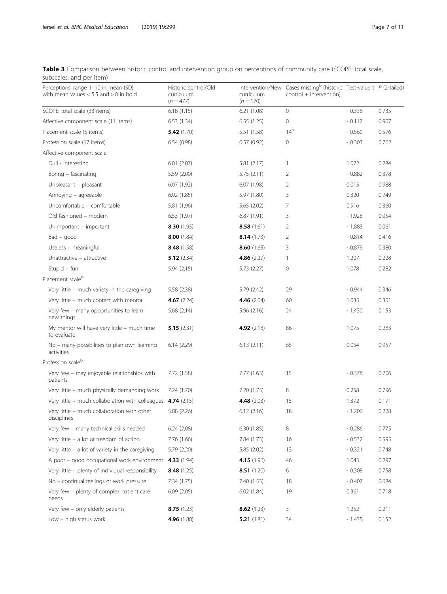<span id="page-6-0"></span>

| Table 3 Comparison between historic control and intervention group on perceptions of community care (SCOPE: total scale, |  |  |
|--------------------------------------------------------------------------------------------------------------------------|--|--|
| subscales, and per item)                                                                                                 |  |  |
|                                                                                                                          |  |  |

| Perceptions: range 1-10 in mean (SD)<br>with mean values $< 5.5$ and $> 8$ in bold | Historic control/Old<br>curriculum<br>$(n = 477)$ | Intervention/New<br>curriculum<br>$(n = 170)$ | Cases missing <sup>b</sup> (historic Test-value t $P$ (2-tailed)<br>control + intervention) |          |       |
|------------------------------------------------------------------------------------|---------------------------------------------------|-----------------------------------------------|---------------------------------------------------------------------------------------------|----------|-------|
| SCOPE: total scale (33 items)                                                      | 6.18(1.15)                                        | 6.21(1.08)                                    | $\circ$                                                                                     | $-0.338$ | 0.735 |
| Affective component scale (11 items)                                               | 6.53(1.34)                                        | 6.55(1.25)                                    | $\mathbf 0$                                                                                 | $-0.117$ | 0.907 |
| Placement scale (5 items)                                                          | 5.42(1.70)                                        | 5.51 (1.58)                                   | 14 <sup>a</sup>                                                                             | $-0.560$ | 0.576 |
| Profession scale (17 items)                                                        | 6.54(0.98)                                        | 6.57(0.92)                                    | 0                                                                                           | $-0.303$ | 0.762 |
| Affective component scale                                                          |                                                   |                                               |                                                                                             |          |       |
| Dull - interesting                                                                 | 6.01(2.07)                                        | 5.81(2.17)                                    | $\mathbf{1}$                                                                                | 1.072    | 0.284 |
| Boring - fascinating                                                               | 5.59 (2.00)                                       | 5.75(2.11)                                    | 2                                                                                           | $-0.882$ | 0.378 |
| Unpleasant - pleasant                                                              | 6.07 (1.92)                                       | 6.07(1.98)                                    | 2                                                                                           | 0.015    | 0.988 |
| Annoying - agreeable                                                               | 6.02(1.85)                                        | 5.97 (1.80)                                   | 3                                                                                           | 0.320    | 0.749 |
| Uncomfortable - comfortable                                                        | 5.81 (1.96)                                       | 5.65(2.02)                                    | 7                                                                                           | 0.916    | 0.360 |
| Old fashioned - modern                                                             | 6.53(1.97)                                        | 6.87(1.91)                                    | 3                                                                                           | $-1.928$ | 0.054 |
| Unimportant - important                                                            | 8.30(1.95)                                        | 8.58(1.61)                                    | 2                                                                                           | $-1.883$ | 0.061 |
| $Bad - good$                                                                       | 8.00(1.84)                                        | <b>8.14</b> $(1.73)$                          | 2                                                                                           | $-0.814$ | 0.416 |
| Useless - meaningful                                                               | 8.48(1.58)                                        | <b>8.60</b> $(1.65)$                          | 3                                                                                           | $-0.879$ | 0.380 |
| Unattractive - attractive                                                          | 5.12(2.34)                                        | 4.86 (2.29)                                   | 1                                                                                           | 1.207    | 0.228 |
| Stupid - fun                                                                       | 5.94(2.15)                                        | 5.73 (2.27)                                   | 0                                                                                           | 1.078    | 0.282 |
| Placement scaleb                                                                   |                                                   |                                               |                                                                                             |          |       |
| Very little - much variety in the caregiving                                       | 5.58 (2.38)                                       | 5.79 (2.42)                                   | 29                                                                                          | $-0.944$ | 0.346 |
| Very little - much contact with mentor                                             | 4.67 $(2.24)$                                     | 4.46 $(2.04)$                                 | 60                                                                                          | 1.035    | 0.301 |
| Very few - many opportunities to learn<br>new things                               | 5.68(2.14)                                        | 5.96(2.16)                                    | 24                                                                                          | $-1.430$ | 0.153 |
| My mentor will have very little - much time<br>to evaluate                         | 5.15(2.31)                                        | 4.92 $(2.18)$                                 | 86                                                                                          | 1.075    | 0.283 |
| No - many possibilities to plan own learning<br>activities                         | 6.14(2.29)                                        | 6.13(2.11)                                    | 65                                                                                          | 0.054    | 0.957 |
| Profession scale <sup>b</sup>                                                      |                                                   |                                               |                                                                                             |          |       |
| Very few - may enjoyable relationships with<br>patients                            | 7.72 (1.58)                                       | 7.77(1.63)                                    | 15                                                                                          | $-0.378$ | 0.706 |
| Very little - much physically demanding work                                       | 7.24 (1.70)                                       | 7.20 (1.73)                                   | 8                                                                                           | 0.258    | 0.796 |
| Very little – much collaboration with colleagues $4.74$ (2.15)                     |                                                   | 4.48 $(2.03)$                                 | 15                                                                                          | 1.372    | 0.171 |
| Very little - much collaboration with other<br>disciplines                         | 5.88 (2.26)                                       | 6.12(2.16)                                    | 18                                                                                          | $-1.206$ | 0.228 |
| Very few - many technical skills needed                                            | 6.24(2.08)                                        | 6.30(1.85)                                    | 8                                                                                           | $-0.286$ | 0.775 |
| Very little - a lot of freedom of action                                           | 7.76 (1.66)                                       | 7.84 (1.73)                                   | 16                                                                                          | $-0.532$ | 0.595 |
| Very little $-$ a lot of variety in the caregiving                                 | 5.79 (2.20)                                       | 5.85(2.02)                                    | 13                                                                                          | $-0.321$ | 0.748 |
| A poor – good occupational work environment 4.33 (1.94)                            |                                                   | 4.15 (1.96)                                   | 46                                                                                          | 1.043    | 0.297 |
| Very little - plenty of individual responsibility                                  | 8.48(1.25)                                        | 8.51(1.20)                                    | 6                                                                                           | $-0.308$ | 0.758 |
| No - continual feelings of work pressure                                           | 7.34 (1.75)                                       | 7.40 (1.53)                                   | 18                                                                                          | $-0.407$ | 0.684 |
| Very few - plenty of complex patient care<br>needs                                 | 6.09(2.05)                                        | 6.02(1.84)                                    | 19                                                                                          | 0.361    | 0.718 |
| Very few - only elderly patients                                                   | 8.75(1.23)                                        | 8.62(1.23)                                    | 3                                                                                           | 1.252    | 0.211 |
| Low - high status work                                                             | 4.96 (1.88)                                       | 5.21(1.81)                                    | 34                                                                                          | $-1.435$ | 0.152 |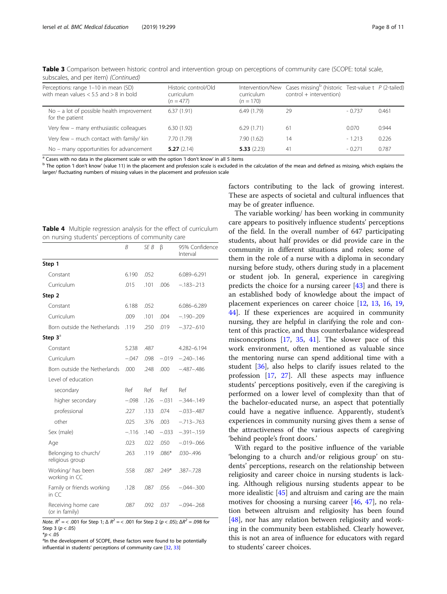| Perceptions: range 1-10 in mean (SD)<br>with mean values $< 5.5$ and $> 8$ in bold | Historic control/Old<br>curriculum<br>$(n = 477)$ | curriculum<br>$(n = 170)$ | Intervention/New Cases missing <sup>b</sup> (historic Test-value t $P$ (2-tailed)<br>$control + intervention)$ |          |       |
|------------------------------------------------------------------------------------|---------------------------------------------------|---------------------------|----------------------------------------------------------------------------------------------------------------|----------|-------|
| $No - a lot of possible health improvement$<br>for the patient                     | 6.37(1.91)                                        | 6.49(1.79)                | 29                                                                                                             | $-0.737$ | 0.461 |
| Very few - many enthusiastic colleagues                                            | 6.30(1.92)                                        | 6.29(1.71)                | 61                                                                                                             | 0.070    | 0.944 |
| Very few - much contact with family/ kin                                           | 7.70 (1.79)                                       | 7.90 (1.62)               | 14                                                                                                             | $-1.213$ | 0.226 |
| No – many opportunities for advancement                                            | 5.27(2.14)                                        | 5.33(2.23)                | 41                                                                                                             | $-0.271$ | 0.787 |

<span id="page-7-0"></span>Table 3 Comparison between historic control and intervention group on perceptions of community care (SCOPE: total scale, subscales, and per item) (Continued)

 $^a$  Cases with no data in the placement scale or with the option 'I don't know' in all 5 items<br> $^b$  The option 'I don't know' (value 11) in the placement and profession scale is excluded in the calculation of the mean an larger/ fluctuating numbers of missing values in the placement and profession scale

|                                                    |  |  | <b>Table 4</b> Multiple regression analysis for the effect of curriculum |
|----------------------------------------------------|--|--|--------------------------------------------------------------------------|
| on nursing students' perceptions of community care |  |  |                                                                          |

|                                         | B       | SE B | β       | 95% Confidence<br>Interval |
|-----------------------------------------|---------|------|---------|----------------------------|
| Step 1                                  |         |      |         |                            |
| Constant                                | 6.190   | .052 |         | 6.089-6.291                |
| Curriculum                              | .015    | .101 | .006    | $-.183-.213$               |
| Step 2                                  |         |      |         |                            |
| Constant                                | 6.188   | .052 |         | 6.086-6.289                |
| Curriculum                              | .009    | .101 | .004    | $-.190-.209$               |
| Born outside the Netherlands            | .119    | .250 | .019    | $-.372-.610$               |
| Step $3^{\circ}$                        |         |      |         |                            |
| Constant                                | 5.238   | .487 |         | 4.282-6.194                |
| Curriculum                              | $-.047$ | .098 | $-.019$ | $-.240-.146$               |
| Born outside the Netherlands            | .000    | .248 | .000    | $-.487-.486$               |
| Level of education                      |         |      |         |                            |
| secondary                               | Ref     | Ref  | Ref     | Ref                        |
| higher secondary                        | $-.098$ | .126 | $-.031$ | $-.344-.149$               |
| professional                            | .227    | .133 | .074    | $-.033-.487$               |
| other                                   | .025    | .376 | .003    | $-.713-.763$               |
| Sex (male)                              | $-.116$ | .140 | $-.033$ | $-.391-.159$               |
| Age                                     | .023    | .022 | .050    | $-.019-.066$               |
| Belonging to church/<br>religious group | .263    | .119 | $.086*$ | .030-.496                  |
| Working/ has been<br>working in CC      | .558    | .087 | $.249*$ | $.387 - .728$              |
| Family or friends working<br>in $CC$    | .128    | .087 | .056    | $-.044-.300$               |
| Receiving home care<br>(or in family)   | .087    | .092 | .037    | $-.094-.268$               |

Note.  $R^2$  = < .001 for Step 1; Δ  $R^2$  = < .001 for Step 2 (p < .05); Δ $R^2$  = .098 for Step 3 (p < .05)  $*_{D}$  < .05

<sup>a</sup>In the development of SCOPE, these factors were found to be potentially influential in students' perceptions of community care [[32,](#page-9-0) [33\]](#page-9-0)

factors contributing to the lack of growing interest. These are aspects of societal and cultural influences that may be of greater influence.

The variable working/ has been working in community care appears to positively influence students' perceptions of the field. In the overall number of 647 participating students, about half provides or did provide care in the community in different situations and roles; some of them in the role of a nurse with a diploma in secondary nursing before study, others during study in a placement or student job. In general, experience in caregiving predicts the choice for a nursing career [[43\]](#page-10-0) and there is an established body of knowledge about the impact of placement experiences on career choice [[12,](#page-9-0) [13,](#page-9-0) [16](#page-9-0), [19](#page-9-0), [44\]](#page-10-0). If these experiences are acquired in community nursing, they are helpful in clarifying the role and content of this practice, and thus counterbalance widespread misconceptions [[17,](#page-9-0) [35](#page-9-0), [41\]](#page-9-0). The slower pace of this work environment, often mentioned as valuable since the mentoring nurse can spend additional time with a student [\[36\]](#page-9-0), also helps to clarify issues related to the profession [\[17](#page-9-0), [27](#page-9-0)]. All these aspects may influence students' perceptions positively, even if the caregiving is performed on a lower level of complexity than that of the bachelor-educated nurse, an aspect that potentially could have a negative influence. Apparently, student's experiences in community nursing gives them a sense of the attractiveness of the various aspects of caregiving 'behind people's front doors.'

With regard to the positive influence of the variable 'belonging to a church and/or religious group' on students' perceptions, research on the relationship between religiosity and career choice in nursing students is lacking. Although religious nursing students appear to be more idealistic [[45](#page-10-0)] and altruism and caring are the main motives for choosing a nursing career [[46,](#page-10-0) [47](#page-10-0)], no relation between altruism and religiosity has been found [[48\]](#page-10-0), nor has any relation between religiosity and working in the community been established. Clearly however, this is not an area of influence for educators with regard to students' career choices.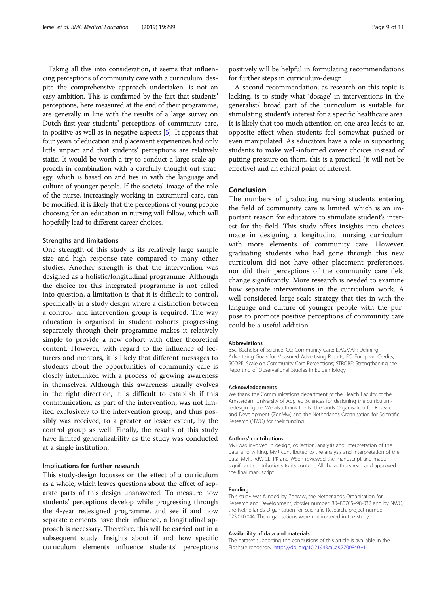Taking all this into consideration, it seems that influencing perceptions of community care with a curriculum, despite the comprehensive approach undertaken, is not an easy ambition. This is confirmed by the fact that students' perceptions, here measured at the end of their programme, are generally in line with the results of a large survey on Dutch first-year students' perceptions of community care, in positive as well as in negative aspects [\[5](#page-9-0)]. It appears that four years of education and placement experiences had only little impact and that students' perceptions are relatively static. It would be worth a try to conduct a large-scale approach in combination with a carefully thought out strategy, which is based on and ties in with the language and culture of younger people. If the societal image of the role of the nurse, increasingly working in extramural care, can be modified, it is likely that the perceptions of young people choosing for an education in nursing will follow, which will hopefully lead to different career choices.

#### Strengths and limitations

One strength of this study is its relatively large sample size and high response rate compared to many other studies. Another strength is that the intervention was designed as a holistic/longitudinal programme. Although the choice for this integrated programme is not called into question, a limitation is that it is difficult to control, specifically in a study design where a distinction between a control- and intervention group is required. The way education is organised in student cohorts progressing separately through their programme makes it relatively simple to provide a new cohort with other theoretical content. However, with regard to the influence of lecturers and mentors, it is likely that different messages to students about the opportunities of community care is closely interlinked with a process of growing awareness in themselves. Although this awareness usually evolves in the right direction, it is difficult to establish if this communication, as part of the intervention, was not limited exclusively to the intervention group, and thus possibly was received, to a greater or lesser extent, by the control group as well. Finally, the results of this study have limited generalizability as the study was conducted at a single institution.

#### Implications for further research

This study-design focusses on the effect of a curriculum as a whole, which leaves questions about the effect of separate parts of this design unanswered. To measure how students' perceptions develop while progressing through the 4-year redesigned programme, and see if and how separate elements have their influence, a longitudinal approach is necessary. Therefore, this will be carried out in a subsequent study. Insights about if and how specific curriculum elements influence students' perceptions

positively will be helpful in formulating recommendations for further steps in curriculum-design.

A second recommendation, as research on this topic is lacking, is to study what 'dosage' in interventions in the generalist/ broad part of the curriculum is suitable for stimulating student's interest for a specific healthcare area. It is likely that too much attention on one area leads to an opposite effect when students feel somewhat pushed or even manipulated. As educators have a role in supporting students to make well-informed career choices instead of putting pressure on them, this is a practical (it will not be effective) and an ethical point of interest.

# Conclusion

The numbers of graduating nursing students entering the field of community care is limited, which is an important reason for educators to stimulate student's interest for the field. This study offers insights into choices made in designing a longitudinal nursing curriculum with more elements of community care. However, graduating students who had gone through this new curriculum did not have other placement preferences, nor did their perceptions of the community care field change significantly. More research is needed to examine how separate interventions in the curriculum work. A well-considered large-scale strategy that ties in with the language and culture of younger people with the purpose to promote positive perceptions of community care could be a useful addition.

#### Abbreviations

BSc: Bachelor of Science; CC: Community Care; DAGMAR: Defining Advertising Goals for Measured Advertising Results; EC: European Credits; SCOPE: Scale on Community Care Perceptions; STROBE: Strengthening the Reporting of Observational Studies in Epidemiology

#### Acknowledgements

We thank the Communications department of the Health Faculty of the Amsterdam University of Applied Sciences for designing the curriculumredesign figure. We also thank the Netherlands Organisation for Research and Development (ZonMw) and the Netherlands Organisation for Scientific Research (NWO) for their funding.

#### Authors' contributions

MvI was involved in design, collection, analysis and interpretation of the data, and writing. MvR contributed to the analysis and interpretation of the data. MvR, RdV, CL, PK and WSoR reviewed the manuscript and made significant contributions to its content. All the authors read and approved the final manuscript.

#### Funding

This study was funded by ZonMw, the Netherlands Organisation for Research and Development, dossier number: 80–80705–98-032 and by NWO, the Netherlands Organisation for Scientific Research, project number 023.010.044. The organisations were not involved in the study.

#### Availability of data and materials

The dataset supporting the conclusions of this article is available in the Figshare repository: <https://doi.org/10.21943/auas.7700840.v1>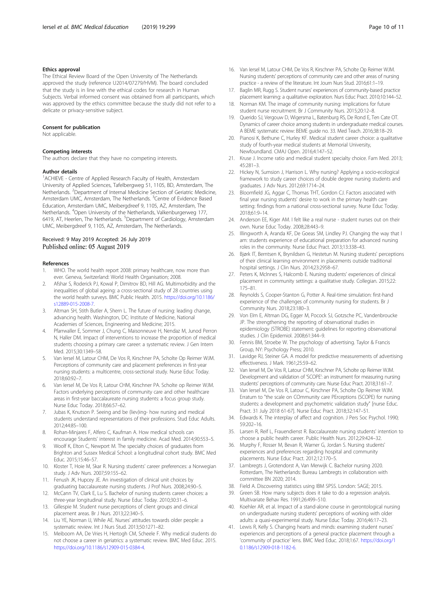#### <span id="page-9-0"></span>Ethics approval

The Ethical Review Board of the Open University of The Netherlands approved the study (reference U2014/07279/HVM). The board concluded that the study is in line with the ethical codes for research in Human Subjects. Verbal informed consent was obtained from all participants, which was approved by the ethics committee because the study did not refer to a delicate or privacy-sensitive subject.

#### Consent for publication

Not applicable.

#### Competing interests

The authors declare that they have no competing interests.

#### Author details

<sup>1</sup> ACHIEVE - Centre of Applied Research Faculty of Health, Amsterdam University of Applied Sciences, Tafelbergweg 51, 1105, BD, Amsterdam, The Netherlands. <sup>2</sup>Department of Internal Medicine Section of Geriatric Medicine, Amsterdam UMC, Amsterdam, The Netherlands. <sup>3</sup>Centre of Evidence Based Education, Amsterdam UMC, Meibergdreef 9, 1105, AZ, Amsterdam, The Netherlands. <sup>4</sup>Open University of the Netherlands, Valkenburgerweg 177, 6419, AT, Heerlen, The Netherlands. <sup>5</sup>Department of Cardiology, Amsterdam UMC, Meibergdreef 9, 1105, AZ, Amsterdam, The Netherlands.

#### Received: 9 May 2019 Accepted: 26 July 2019 Published online: 05 August 2019

#### References

- 1. WHO. The world health report 2008: primary healthcare, now more than ever. Geneva, Switzerland: World Health Organisation; 2008.
- 2. Afshar S, Roderick PJ, Kowal P, Dimitrov BD, Hill AG. Multimorbidity and the inequalities of global ageing: a cross-sectional study of 28 countries using the world health surveys. BMC Public Health. 2015. [https://doi.org/10.1186/](https://doi.org/10.1186/s12889-015-2008-7) [s12889-015-2008-7.](https://doi.org/10.1186/s12889-015-2008-7)
- 3. Altman SH, Stith Butler A, Shern L. The future of nursing: leading change, advancing health. Washington, DC: Institute of Medicine, National Academies of Sciences, Engineering and Medicine; 2015.
- 4. Pfarrwaller E, Sommer J, Chung C, Maisonneuve H, Nendaz M, Junod Perron N, Haller DM. Impact of interventions to increase the proportion of medical students choosing a primary care career: a systematic review. J Gen Intern Med. 2015;30:1349–58.
- 5. Van Iersel M, Latour CHM, De Vos R, Kirschner PA, Scholte Op Reimer WJM. Perceptions of community care and placement preferences in first-year nursing students: a multicentre, cross-sectional study. Nurse Educ Today. 2018;60:92–7.
- Van Iersel M, De Vos R, Latour CHM, Kirschner PA. Scholte op Reimer WJM. Factors underlying perceptions of community care and other healthcare areas in first-year baccalaureate nursing students: a focus group study. Nurse Educ Today. 2018;66:57–62.
- 7. Jubas K, Knutson P. Seeing and be (liev)ing- how nursing and medical students understand representations of their professions. Stud Educ Adults. 2012;44:85–100.
- 8. Rohan-Minjares F, Alfero C, Kaufman A. How medical schools can encourage Students' interest in family medicine. Acad Med. 2014;90:553–5.
- 9. Woolf K, Elton C, Newport M. The specialty choices of graduates from Brighton and Sussex Medical School: a longitudinal cohort study. BMC Med Educ. 2015;15:46–57.
- 10. Kloster T, Hoie M, Skar R. Nursing students' career preferences: a Norwegian study. J Adv Nurs. 2007;59:155–62.
- 11. Fenush JK, Hupcey JE. An investigation of clinical unit choices by graduating baccalaureate nursing students. J Prof Nurs. 2008;24:90–5.
- 12. McCann TV, Clark E, Lu S. Bachelor of nursing students career choices: a three-year longitudinal study. Nurse Educ Today. 2010;30:31–6.
- 13. Gillespie M. Student nurse perceptions of client groups and clinical placement areas. Br J Nurs. 2013;22:340–5.
- 14. Liu YE, Norman IJ, While AE. Nurses' attitudes towards older people: a systematic review. Int J Nurs Stud. 2013;50:1271–82.
- 15. Meiboom AA, De Vries H, Hertogh CM, Scheele F. Why medical students do not choose a career in geriatrics: a systematic review. BMC Med Educ. 2015. <https://doi.org/10.1186/s12909-015-0384-4>.
- 16. Van Iersel M, Latour CHM, De Vos R, Kirschner PA, Scholte Op Reimer WJM. Nursing students' perceptions of community care and other areas of nursing practice - a review of the literature. Int Journ Nurs Stud. 2016;61:1–19.
- 17. Baglin MR, Rugg S. Student nurses' experiences of community-based practice placement learning: a qualitative exploration. Nurs Educ Pract. 2010;10:144–52.
- 18. Norman KM. The image of community nursing: implications for future student nurse recruitment. Br J Community Nurs. 2015;20:12–8.
- 19. Querido SJ, Vergouw D, Wigersma L, Batenburg RS, De Rond E, Ten Cate OT. Dynamics of career choice among students in undergraduate medical courses. A BEME systematic review: BEME guide no. 33. Med Teach. 2016;38:18–29.
- 20. Pianosi K, Bethune C, Hurley KF. Medical student career choice: a qualitative study of fourth-year medical students at Memorial University, Newfoundland. CMAJ Open. 2016;4:147–52.
- 21. Kruse J. Income ratio and medical student specialty choice. Fam Med. 2013; 45:281–3.
- 22. Hickey N, Sumsion J, Harrison L. Why nursing? Applying a socio-ecological framework to study career choices of double degree nursing students and graduates. J Adv Nurs. 2012;69:1714–24.
- 23. Bloomfield JG, Aggar C, Thomas THT, Gordon CJ. Factors associated with final year nursing students' desire to work in the primary health care setting: findings from a national cross-sectional survey. Nurse Educ Today. 2018;61:9–14.
- 24. Anderson EE, Kiger AM. I felt like a real nurse student nurses out on their own. Nurse Educ Today. 2008;28:443–9.
- 25. Illingworth A, Aranda KF, De Goeas SM, Lindley PJ. Changing the way that I am: students experience of educational preparation for advanced nursing roles in the community. Nurse Educ Pract. 2013;13:338–43.
- 26. Bjørk IT, Berntsen K, Brynildsen G, Hestetun M. Nursing students' perceptions of their clinical learning environment in placements outside traditional hospital settings. J Clin Nurs. 2014;23:2958–67.
- 27. Peters K, McInnes S, Halcomb E. Nursing students' experiences of clinical placement in community settings: a qualitative study. Collegian. 2015;22: 175–81.
- 28. Reynolds S, Cooper-Stanton G, Potter A. Real-time simulation: first-hand experience of the challenges of community nursing for students. Br J Community Nurs. 2018;23:180–3.
- 29. Von Elm E, Altman DG, Egger M, Pocock SJ, Gotzsche PC, Vandenbroucke JP. The strengthening the reporting of observational studies in epidemiology (STROBE) statement: guidelines for reporting observational studies. J Clin Epidemiol. 2008;61:344–9.
- 30. Fennis BM, Stroebe W. The psychology of advertising. Taylor & Francis Group, NY: Psychology Press; 2010.
- 31. Lavidge RJ, Steiner GA. A model for predictive measurements of advertising effectiveness. J Mark. 1961;25:59–62.
- 32. Van Iersel M, De Vos R, Latour CHM, Kirschner PA, Scholte op Reimer WJM. Development and validation of 'SCOPE': an instrument for measuring nursing students' perceptions of community care. Nurse Educ Pract. 2018;31:61–7.
- 33. Van Iersel M, De Vos R, Latour C, Kirschner PA, Scholte Op Reimer WJM. Erratum to "the scale on COmmunity care PErceptions (SCOPE) for nursing students: a development and psychometric validation study" [nurse Educ. Pract. 31 July 2018 61-67]. Nurse Educ Pract. 2018;32:147–51.
- 34. Edwards K. The interplay of affect and cognition. J Pers Soc Psychol. 1990; 59:202–16.
- 35. Larsen R, Reif L, Frauendienst R. Baccalaureate nursing students' intention to choose a public health career. Public Health Nurs. 2012;29:424–32.
- 36. Murphy F, Rosser M, Bevan R, Warner G, Jordan S. Nursing students' experiences and preferences regarding hospital and community placements. Nurse Educ Pract. 2012;12:170–5.
- 37. Lambregts J, Grotendorst A, Van Merwijk C. Bachelor nursing 2020. Rotterdam, The Netherlands: Bureau Lambregts in collaboration with committee BN 2020; 2014.
- 38. Field A. Discovering statistics using IBM SPSS. London: SAGE; 2015.
- 39. Green SB. How many subjects does it take to do a regression analysis. Multivariate Behav Res. 1991;26:499–510.
- 40. Koehler AR, et al. Impact of a stand-alone course in gerontological nursing on undergraduate nursing students' perceptions of working with older adults: a quasi-experimental study. Nurse Educ Today. 2016;46:17–23.
- 41. Lewis R, Kelly S. Changing hearts and minds: examining student nurses' experiences and perceptions of a general practice placement through a 'community of practice' lens. BMC Med Educ. 2018;1:67. [https://doi.org/1](https://doi.org/10.1186/s12909-018-1182-6) [0.1186/s12909-018-1182-6.](https://doi.org/10.1186/s12909-018-1182-6)